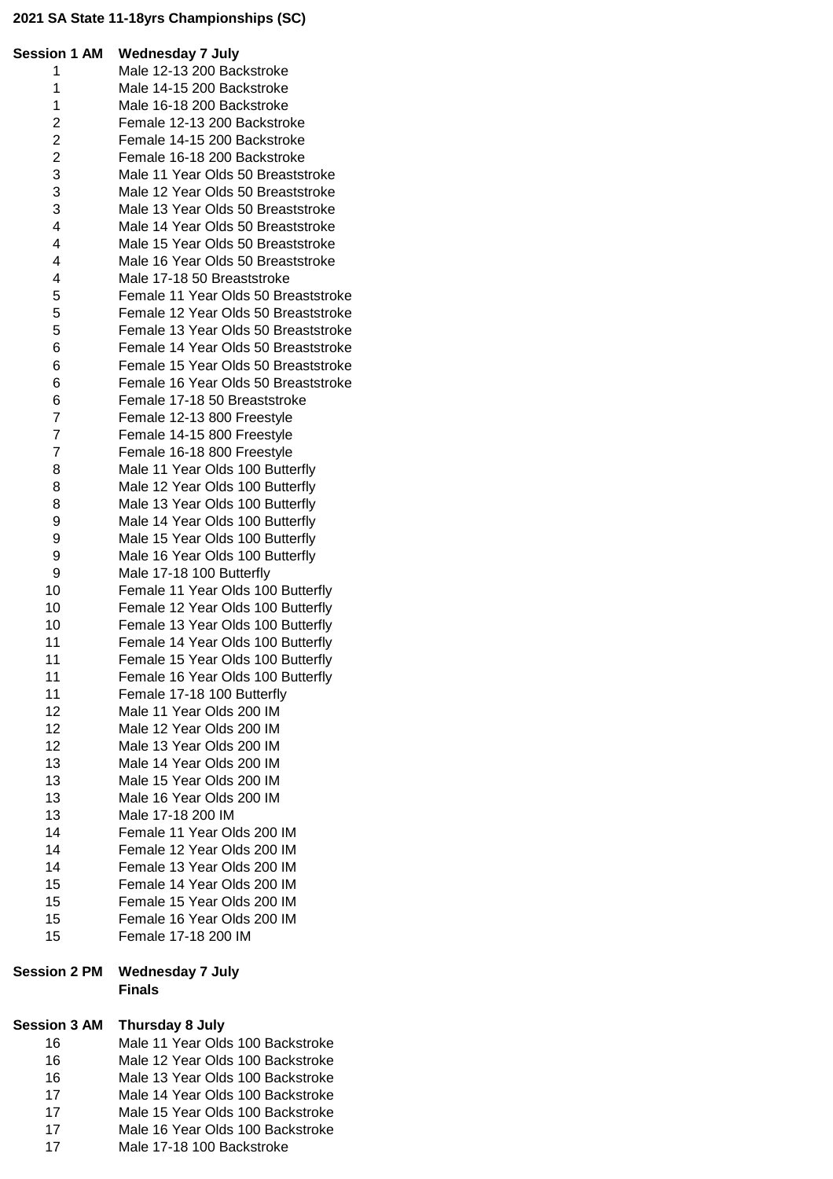## **2021 SA State 11-18yrs Championships (SC)**

| <b>Session 1 AM</b>     | <b>Wednesday 7 July</b>                              |
|-------------------------|------------------------------------------------------|
| 1                       | Male 12-13 200 Backstroke                            |
| 1                       | Male 14-15 200 Backstroke                            |
| 1                       | Male 16-18 200 Backstroke                            |
| $\overline{c}$          | Female 12-13 200 Backstroke                          |
| $\overline{c}$          | Female 14-15 200 Backstroke                          |
| $\overline{\mathbf{c}}$ | Female 16-18 200 Backstroke                          |
| 3                       | Male 11 Year Olds 50 Breaststroke                    |
| 3                       | Male 12 Year Olds 50 Breaststroke                    |
| 3                       | Male 13 Year Olds 50 Breaststroke                    |
| 4                       | Male 14 Year Olds 50 Breaststroke                    |
| 4                       | Male 15 Year Olds 50 Breaststroke                    |
| 4                       | Male 16 Year Olds 50 Breaststroke                    |
| 4                       | Male 17-18 50 Breaststroke                           |
| 5                       | Female 11 Year Olds 50 Breaststroke                  |
| 5                       | Female 12 Year Olds 50 Breaststroke                  |
| 5                       | Female 13 Year Olds 50 Breaststroke                  |
| 6                       | Female 14 Year Olds 50 Breaststroke                  |
| 6                       | Female 15 Year Olds 50 Breaststroke                  |
| 6                       | Female 16 Year Olds 50 Breaststroke                  |
| 6                       | Female 17-18 50 Breaststroke                         |
| 7                       | Female 12-13 800 Freestyle                           |
| $\overline{7}$          | Female 14-15 800 Freestyle                           |
| 7                       | Female 16-18 800 Freestyle                           |
| 8                       | Male 11 Year Olds 100 Butterfly                      |
| 8                       | Male 12 Year Olds 100 Butterfly                      |
| 8                       | Male 13 Year Olds 100 Butterfly                      |
| 9                       | Male 14 Year Olds 100 Butterfly                      |
| 9                       | Male 15 Year Olds 100 Butterfly                      |
| 9                       | Male 16 Year Olds 100 Butterfly                      |
| 9                       | Male 17-18 100 Butterfly                             |
| 10                      | Female 11 Year Olds 100 Butterfly                    |
| 10                      | Female 12 Year Olds 100 Butterfly                    |
| 10                      |                                                      |
|                         | Female 13 Year Olds 100 Butterfly                    |
| 11                      | Female 14 Year Olds 100 Butterfly                    |
| 11                      | Female 15 Year Olds 100 Butterfly                    |
| 11                      | Female 16 Year Olds 100 Butterfly                    |
| 11                      | Female 17-18 100 Butterfly                           |
| 12                      | Male 11 Year Olds 200 IM                             |
| 12                      | Male 12 Year Olds 200 IM                             |
| 12                      | Male 13 Year Olds 200 IM                             |
| 13                      | Male 14 Year Olds 200 IM<br>Male 15 Year Olds 200 IM |
| 13                      |                                                      |
| 13                      | Male 16 Year Olds 200 IM                             |
| 13                      | Male 17-18 200 IM                                    |
| 14                      | Female 11 Year Olds 200 IM                           |
| 14                      | Female 12 Year Olds 200 IM                           |
| 14                      | Female 13 Year Olds 200 IM                           |
| 15                      | Female 14 Year Olds 200 IM                           |
| 15                      | Female 15 Year Olds 200 IM                           |
| 15                      | Female 16 Year Olds 200 IM                           |
| 15                      | Female 17-18 200 IM                                  |
|                         |                                                      |

### **Session 2 PM Wednesday 7 July Finals**

# **Session 3 AM Thursday 8 July**

| 16 |                           |  |  | Male 11 Year Olds 100 Backstroke |
|----|---------------------------|--|--|----------------------------------|
| 16 |                           |  |  | Male 12 Year Olds 100 Backstroke |
| 16 |                           |  |  | Male 13 Year Olds 100 Backstroke |
| 17 |                           |  |  | Male 14 Year Olds 100 Backstroke |
| 17 |                           |  |  | Male 15 Year Olds 100 Backstroke |
| 17 |                           |  |  | Male 16 Year Olds 100 Backstroke |
| 17 | Male 17-18 100 Backstroke |  |  |                                  |
|    |                           |  |  |                                  |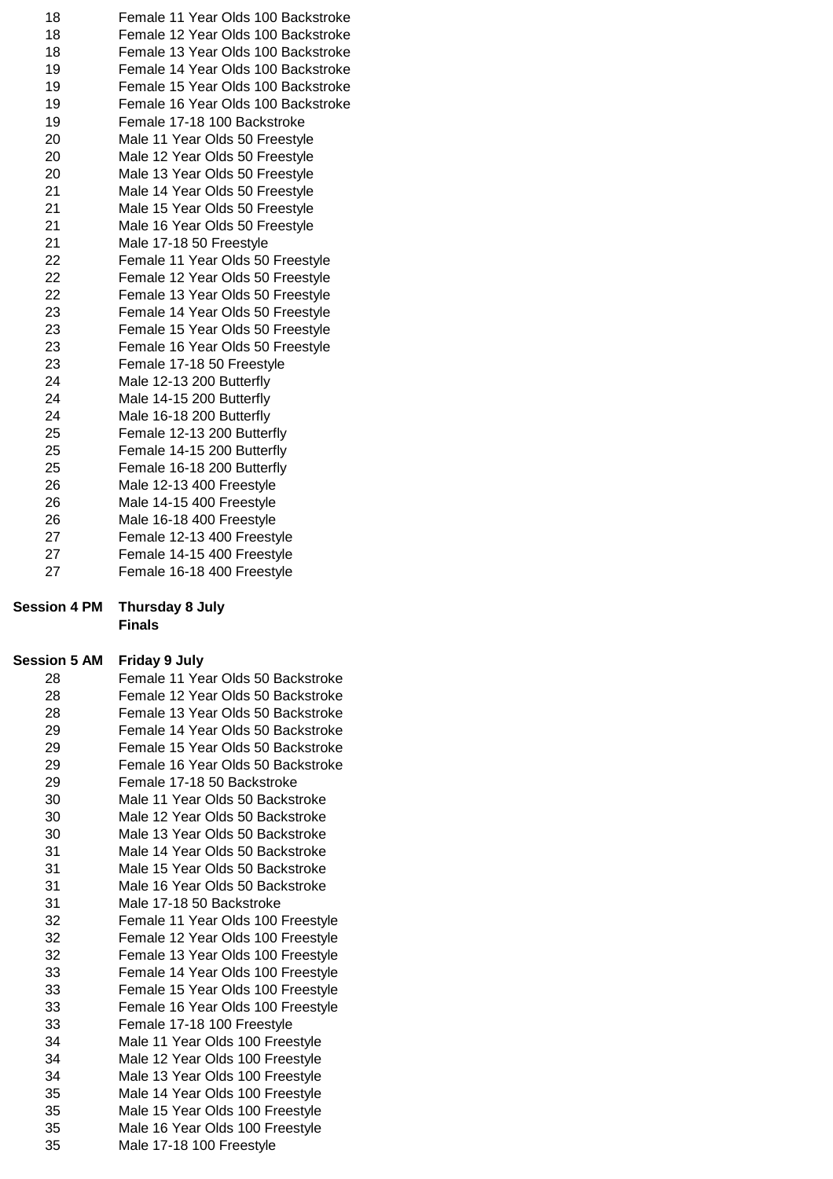| 18 | Female 11 Year Olds 100 Backstroke |
|----|------------------------------------|
| 18 | Female 12 Year Olds 100 Backstroke |
| 18 | Female 13 Year Olds 100 Backstroke |
| 19 | Female 14 Year Olds 100 Backstroke |
| 19 | Female 15 Year Olds 100 Backstroke |
| 19 | Female 16 Year Olds 100 Backstroke |
| 19 | Female 17-18 100 Backstroke        |
| 20 | Male 11 Year Olds 50 Freestyle     |
| 20 | Male 12 Year Olds 50 Freestyle     |
| 20 | Male 13 Year Olds 50 Freestyle     |
| 21 | Male 14 Year Olds 50 Freestyle     |
| 21 | Male 15 Year Olds 50 Freestyle     |
| 21 | Male 16 Year Olds 50 Freestyle     |
| 21 | Male 17-18 50 Freestyle            |
| 22 | Female 11 Year Olds 50 Freestyle   |
| 22 | Female 12 Year Olds 50 Freestyle   |
| 22 | Female 13 Year Olds 50 Freestyle   |
| 23 | Female 14 Year Olds 50 Freestyle   |
| 23 | Female 15 Year Olds 50 Freestyle   |
| 23 | Female 16 Year Olds 50 Freestyle   |
| 23 | Female 17-18 50 Freestyle          |
| 24 | Male 12-13 200 Butterfly           |
| 24 | Male 14-15 200 Butterfly           |
| 24 | Male 16-18 200 Butterfly           |
| 25 | Female 12-13 200 Butterfly         |
| 25 | Female 14-15 200 Butterfly         |
| 25 | Female 16-18 200 Butterfly         |
| 26 | Male 12-13 400 Freestyle           |
| 26 | Male 14-15 400 Freestyle           |
| 26 | Male 16-18 400 Freestyle           |
| 27 | Female 12-13 400 Freestyle         |
| 27 | Female 14-15 400 Freestyle         |
| 27 | Female 16-18 400 Freestyle         |

#### **Session 4 PM Thursday 8 July Finals**

## **Session 5 AM Friday 9 July**

| 28 | Female 11 Year Olds 50 Backstroke |
|----|-----------------------------------|
| 28 | Female 12 Year Olds 50 Backstroke |
| 28 | Female 13 Year Olds 50 Backstroke |
| 29 | Female 14 Year Olds 50 Backstroke |
| 29 | Female 15 Year Olds 50 Backstroke |
| 29 | Female 16 Year Olds 50 Backstroke |
| 29 | Female 17-18 50 Backstroke        |
| 30 | Male 11 Year Olds 50 Backstroke   |
| 30 | Male 12 Year Olds 50 Backstroke   |
| 30 | Male 13 Year Olds 50 Backstroke   |
| 31 | Male 14 Year Olds 50 Backstroke   |
| 31 | Male 15 Year Olds 50 Backstroke   |
| 31 | Male 16 Year Olds 50 Backstroke   |
| 31 | Male 17-18 50 Backstroke          |
| 32 | Female 11 Year Olds 100 Freestyle |
| 32 | Female 12 Year Olds 100 Freestyle |
| 32 | Female 13 Year Olds 100 Freestyle |
| 33 | Female 14 Year Olds 100 Freestyle |
| 33 | Female 15 Year Olds 100 Freestyle |
| 33 | Female 16 Year Olds 100 Freestyle |
| 33 | Female 17-18 100 Freestyle        |
| 34 | Male 11 Year Olds 100 Freestyle   |
| 34 | Male 12 Year Olds 100 Freestyle   |
| 34 | Male 13 Year Olds 100 Freestyle   |
| 35 | Male 14 Year Olds 100 Freestyle   |
| 35 | Male 15 Year Olds 100 Freestyle   |
| 35 | Male 16 Year Olds 100 Freestyle   |
| 35 | Male 17-18 100 Freestyle          |
|    |                                   |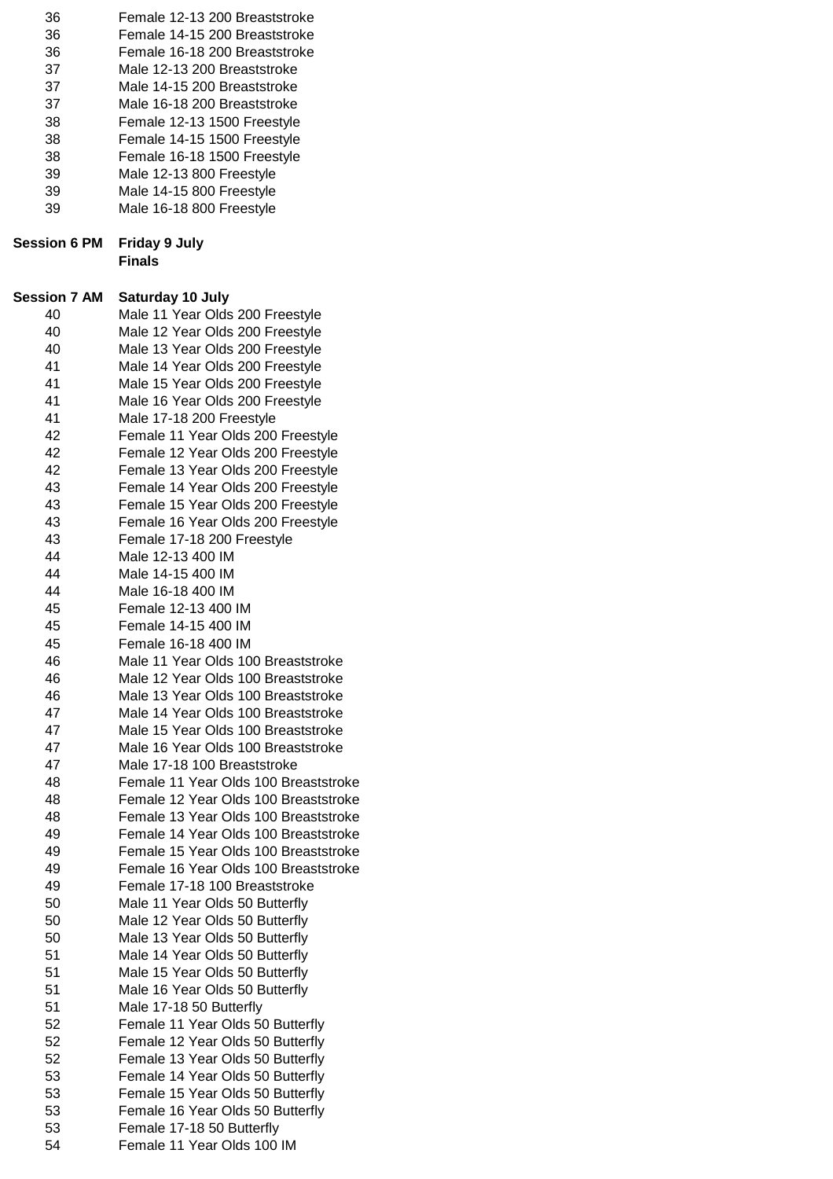| 36<br>36<br>36<br>37<br>37<br>37<br>38<br>38<br>38<br>39<br>39<br>39 | Female 12-13 200 Breaststroke<br>Female 14-15 200 Breaststroke<br>Female 16-18 200 Breaststroke<br>Male 12-13 200 Breaststroke<br>Male 14-15 200 Breaststroke<br>Male 16-18 200 Breaststroke<br>Female 12-13 1500 Freestyle<br>Female 14-15 1500 Freestyle<br>Female 16-18 1500 Freestyle<br>Male 12-13 800 Freestyle<br>Male 14-15 800 Freestyle<br>Male 16-18 800 Freestyle |
|----------------------------------------------------------------------|-------------------------------------------------------------------------------------------------------------------------------------------------------------------------------------------------------------------------------------------------------------------------------------------------------------------------------------------------------------------------------|
| <b>Session 6 PM</b>                                                  | <b>Friday 9 July</b><br><b>Finals</b>                                                                                                                                                                                                                                                                                                                                         |
| <b>Session 7 AM</b>                                                  | Saturday 10 July                                                                                                                                                                                                                                                                                                                                                              |
| 40<br>40                                                             | Male 11 Year Olds 200 Freestyle<br>Male 12 Year Olds 200 Freestyle                                                                                                                                                                                                                                                                                                            |
| 40                                                                   | Male 13 Year Olds 200 Freestyle                                                                                                                                                                                                                                                                                                                                               |
| 41                                                                   | Male 14 Year Olds 200 Freestyle                                                                                                                                                                                                                                                                                                                                               |
| 41                                                                   | Male 15 Year Olds 200 Freestyle                                                                                                                                                                                                                                                                                                                                               |
| 41                                                                   | Male 16 Year Olds 200 Freestyle                                                                                                                                                                                                                                                                                                                                               |
| 41                                                                   | Male 17-18 200 Freestyle                                                                                                                                                                                                                                                                                                                                                      |
| 42                                                                   | Female 11 Year Olds 200 Freestyle                                                                                                                                                                                                                                                                                                                                             |
| 42                                                                   | Female 12 Year Olds 200 Freestyle                                                                                                                                                                                                                                                                                                                                             |
| 42                                                                   | Female 13 Year Olds 200 Freestyle                                                                                                                                                                                                                                                                                                                                             |
| 43                                                                   | Female 14 Year Olds 200 Freestyle                                                                                                                                                                                                                                                                                                                                             |
| 43                                                                   | Female 15 Year Olds 200 Freestyle                                                                                                                                                                                                                                                                                                                                             |
| 43                                                                   | Female 16 Year Olds 200 Freestyle                                                                                                                                                                                                                                                                                                                                             |
| 43                                                                   | Female 17-18 200 Freestyle                                                                                                                                                                                                                                                                                                                                                    |
| 44                                                                   | Male 12-13 400 IM                                                                                                                                                                                                                                                                                                                                                             |
| 44                                                                   | Male 14-15 400 IM                                                                                                                                                                                                                                                                                                                                                             |
| 44                                                                   | Male 16-18 400 IM                                                                                                                                                                                                                                                                                                                                                             |
| 45                                                                   | Female 12-13 400 IM                                                                                                                                                                                                                                                                                                                                                           |
| 45                                                                   | Female 14-15 400 IM                                                                                                                                                                                                                                                                                                                                                           |
| 45                                                                   | Female 16-18 400 IM                                                                                                                                                                                                                                                                                                                                                           |
| 46<br>46                                                             | Male 11 Year Olds 100 Breaststroke<br>Male 12 Year Olds 100 Breaststroke                                                                                                                                                                                                                                                                                                      |
| 46                                                                   | Male 13 Year Olds 100 Breaststroke                                                                                                                                                                                                                                                                                                                                            |
| 47                                                                   | Male 14 Year Olds 100 Breaststroke                                                                                                                                                                                                                                                                                                                                            |
| 47                                                                   | Male 15 Year Olds 100 Breaststroke                                                                                                                                                                                                                                                                                                                                            |
| 47                                                                   | Male 16 Year Olds 100 Breaststroke                                                                                                                                                                                                                                                                                                                                            |
| 47                                                                   | Male 17-18 100 Breaststroke                                                                                                                                                                                                                                                                                                                                                   |
| 48                                                                   | Female 11 Year Olds 100 Breaststroke                                                                                                                                                                                                                                                                                                                                          |
| 48                                                                   | Female 12 Year Olds 100 Breaststroke                                                                                                                                                                                                                                                                                                                                          |
| 48                                                                   | Female 13 Year Olds 100 Breaststroke                                                                                                                                                                                                                                                                                                                                          |
| 49                                                                   | Female 14 Year Olds 100 Breaststroke                                                                                                                                                                                                                                                                                                                                          |
| 49                                                                   | Female 15 Year Olds 100 Breaststroke                                                                                                                                                                                                                                                                                                                                          |
| 49                                                                   | Female 16 Year Olds 100 Breaststroke                                                                                                                                                                                                                                                                                                                                          |
| 49                                                                   | Female 17-18 100 Breaststroke                                                                                                                                                                                                                                                                                                                                                 |
| 50                                                                   | Male 11 Year Olds 50 Butterfly                                                                                                                                                                                                                                                                                                                                                |
| 50                                                                   | Male 12 Year Olds 50 Butterfly                                                                                                                                                                                                                                                                                                                                                |
| 50<br>51                                                             | Male 13 Year Olds 50 Butterfly                                                                                                                                                                                                                                                                                                                                                |
| 51                                                                   | Male 14 Year Olds 50 Butterfly<br>Male 15 Year Olds 50 Butterfly                                                                                                                                                                                                                                                                                                              |
| 51                                                                   | Male 16 Year Olds 50 Butterfly                                                                                                                                                                                                                                                                                                                                                |
| 51                                                                   | Male 17-18 50 Butterfly                                                                                                                                                                                                                                                                                                                                                       |
| 52                                                                   | Female 11 Year Olds 50 Butterfly                                                                                                                                                                                                                                                                                                                                              |
| 52                                                                   | Female 12 Year Olds 50 Butterfly                                                                                                                                                                                                                                                                                                                                              |
| 52                                                                   | Female 13 Year Olds 50 Butterfly                                                                                                                                                                                                                                                                                                                                              |
| 53                                                                   | Female 14 Year Olds 50 Butterfly                                                                                                                                                                                                                                                                                                                                              |
| 53                                                                   | Female 15 Year Olds 50 Butterfly                                                                                                                                                                                                                                                                                                                                              |
| 53                                                                   | Female 16 Year Olds 50 Butterfly                                                                                                                                                                                                                                                                                                                                              |
| 53                                                                   | Female 17-18 50 Butterfly                                                                                                                                                                                                                                                                                                                                                     |
| 54                                                                   | Female 11 Year Olds 100 IM                                                                                                                                                                                                                                                                                                                                                    |
|                                                                      |                                                                                                                                                                                                                                                                                                                                                                               |